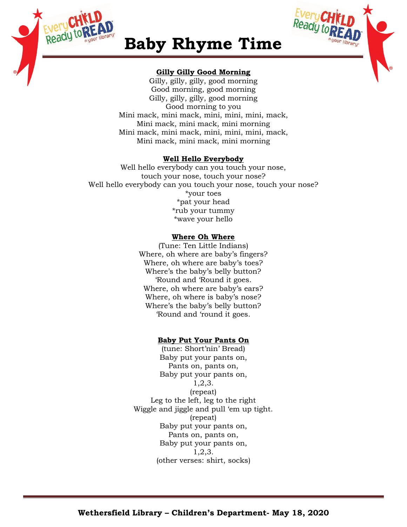



**Baby Rhyme Time**

# **Gilly Gilly Good Morning**

Gilly, gilly, gilly, good morning Good morning, good morning Gilly, gilly, gilly, good morning Good morning to you Mini mack, mini mack, mini, mini, mini, mack, Mini mack, mini mack, mini morning Mini mack, mini mack, mini, mini, mini, mack, Mini mack, mini mack, mini morning

## **Well Hello Everybody**

Well hello everybody can you touch your nose, touch your nose, touch your nose? Well hello everybody can you touch your nose, touch your nose? \*your toes \*pat your head \*rub your tummy \*wave your hello

### **Where Oh Where**

(Tune: Ten Little Indians) Where, oh where are baby's fingers? Where, oh where are baby's toes? Where's the baby's belly button? 'Round and 'Round it goes. Where, oh where are baby's ears? Where, oh where is baby's nose? Where's the baby's belly button? 'Round and 'round it goes.

# **Baby Put Your Pants On**

(tune: Short'nin' Bread) Baby put your pants on, Pants on, pants on, Baby put your pants on, 1,2,3. (repeat) Leg to the left, leg to the right Wiggle and jiggle and pull 'em up tight. (repeat) Baby put your pants on, Pants on, pants on, Baby put your pants on, 1,2,3. (other verses: shirt, socks)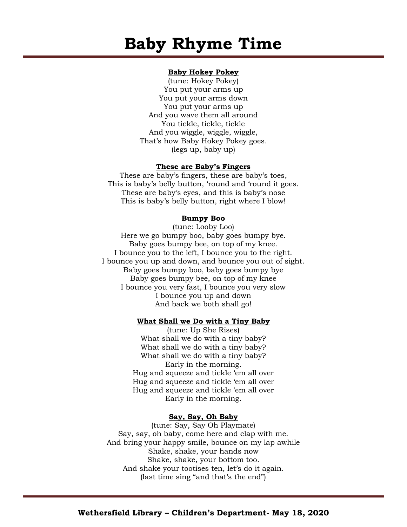# **Baby Rhyme Time**

#### **Baby Hokey Pokey**

(tune: Hokey Pokey) You put your arms up You put your arms down You put your arms up And you wave them all around You tickle, tickle, tickle And you wiggle, wiggle, wiggle, That's how Baby Hokey Pokey goes. (legs up, baby up)

#### **These are Baby's Fingers**

These are baby's fingers, these are baby's toes, This is baby's belly button, 'round and 'round it goes. These are baby's eyes, and this is baby's nose This is baby's belly button, right where I blow!

### **Bumpy Boo**

(tune: Looby Loo) Here we go bumpy boo, baby goes bumpy bye. Baby goes bumpy bee, on top of my knee. I bounce you to the left, I bounce you to the right. I bounce you up and down, and bounce you out of sight. Baby goes bumpy boo, baby goes bumpy bye Baby goes bumpy bee, on top of my knee I bounce you very fast, I bounce you very slow I bounce you up and down And back we both shall go!

#### **What Shall we Do with a Tiny Baby**

(tune: Up She Rises) What shall we do with a tiny baby? What shall we do with a tiny baby? What shall we do with a tiny baby? Early in the morning. Hug and squeeze and tickle 'em all over Hug and squeeze and tickle 'em all over Hug and squeeze and tickle 'em all over Early in the morning.

## **Say, Say, Oh Baby**

(tune: Say, Say Oh Playmate) Say, say, oh baby, come here and clap with me. And bring your happy smile, bounce on my lap awhile Shake, shake, your hands now Shake, shake, your bottom too. And shake your tootises ten, let's do it again. (last time sing "and that's the end")